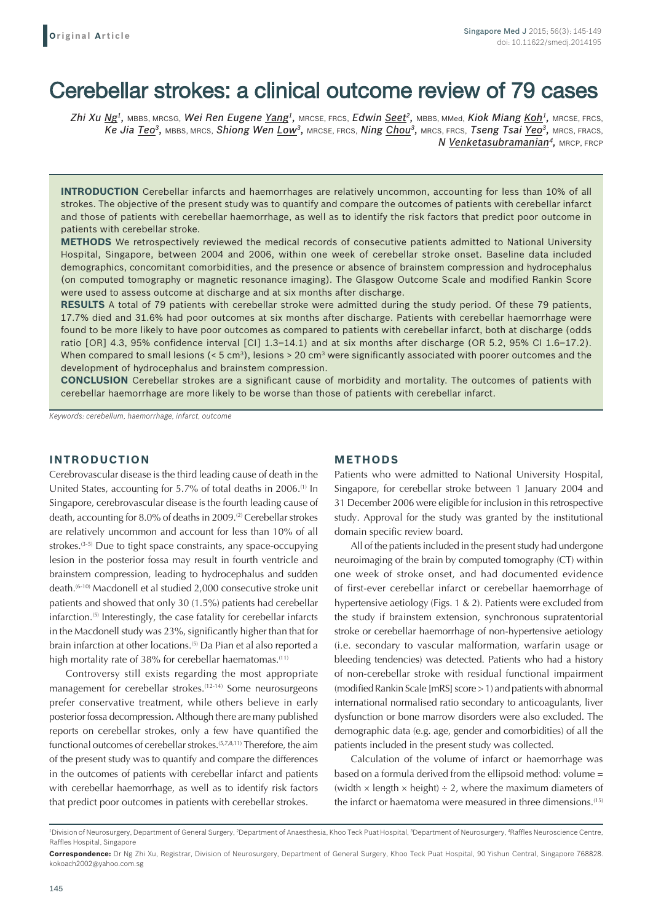# Cerebellar strokes: a clinical outcome review of 79 cases

*Zhi Xu Ng1,* MBBS, MRCSG, *Wei Ren Eugene Yang1,* MRCSE, FRCS, *Edwin Seet2,* MBBS, MMed, *Kiok Miang Koh1,* MRCSE, FRCS, *Ke Jia Teo3,* MBBS, MRCS, *Shiong Wen Low3,* MRCSE, FRCS, *Ning Chou3,* MRCS, FRCS, *Tseng Tsai Yeo3,* MRCS, FRACS, *N Venketasubramanian4,* MRCP, FRCP

**INTRODUCTION** Cerebellar infarcts and haemorrhages are relatively uncommon, accounting for less than 10% of all strokes. The objective of the present study was to quantify and compare the outcomes of patients with cerebellar infarct and those of patients with cerebellar haemorrhage, as well as to identify the risk factors that predict poor outcome in patients with cerebellar stroke.

**METHODS** We retrospectively reviewed the medical records of consecutive patients admitted to National University Hospital, Singapore, between 2004 and 2006, within one week of cerebellar stroke onset. Baseline data included demographics, concomitant comorbidities, and the presence or absence of brainstem compression and hydrocephalus (on computed tomography or magnetic resonance imaging). The Glasgow Outcome Scale and modified Rankin Score were used to assess outcome at discharge and at six months after discharge.

**RESULTS** A total of 79 patients with cerebellar stroke were admitted during the study period. Of these 79 patients, 17.7% died and 31.6% had poor outcomes at six months after discharge. Patients with cerebellar haemorrhage were found to be more likely to have poor outcomes as compared to patients with cerebellar infarct, both at discharge (odds ratio [OR] 4.3, 95% confidence interval [CI] 1.3–14.1) and at six months after discharge (OR 5.2, 95% CI 1.6–17.2). When compared to small lesions  $( $5 \text{ cm}^3$ ), lesions > 20 cm<sup>3</sup> were significantly associated with poorer outcomes and the$ development of hydrocephalus and brainstem compression.

**CONCLUSION** Cerebellar strokes are a significant cause of morbidity and mortality. The outcomes of patients with cerebellar haemorrhage are more likely to be worse than those of patients with cerebellar infarct.

*Keywords: cerebellum, haemorrhage, infarct, outcome*

# **INTRODUCTION**

Cerebrovascular disease is the third leading cause of death in the United States, accounting for 5.7% of total deaths in 2006.(1) In Singapore, cerebrovascular disease is the fourth leading cause of death, accounting for 8.0% of deaths in 2009.<sup>(2)</sup> Cerebellar strokes are relatively uncommon and account for less than 10% of all strokes.<sup>(3-5)</sup> Due to tight space constraints, any space-occupying lesion in the posterior fossa may result in fourth ventricle and brainstem compression, leading to hydrocephalus and sudden death.<sup>(6-10)</sup> Macdonell et al studied 2,000 consecutive stroke unit patients and showed that only 30 (1.5%) patients had cerebellar infarction.(5) Interestingly, the case fatality for cerebellar infarcts in the Macdonell study was 23%, significantly higher than that for brain infarction at other locations.<sup>(5)</sup> Da Pian et al also reported a high mortality rate of 38% for cerebellar haematomas.<sup>(11)</sup>

Controversy still exists regarding the most appropriate management for cerebellar strokes.<sup>(12-14)</sup> Some neurosurgeons prefer conservative treatment, while others believe in early posterior fossa decompression. Although there are many published reports on cerebellar strokes, only a few have quantified the functional outcomes of cerebellar strokes.(5,7,8,11) Therefore, the aim of the present study was to quantify and compare the differences in the outcomes of patients with cerebellar infarct and patients with cerebellar haemorrhage, as well as to identify risk factors that predict poor outcomes in patients with cerebellar strokes.

# **METHODS**

Patients who were admitted to National University Hospital, Singapore, for cerebellar stroke between 1 January 2004 and 31 December 2006 were eligible for inclusion in this retrospective study. Approval for the study was granted by the institutional domain specific review board.

All of the patients included in the present study had undergone neuroimaging of the brain by computed tomography (CT) within one week of stroke onset, and had documented evidence of first-ever cerebellar infarct or cerebellar haemorrhage of hypertensive aetiology (Figs. 1 & 2). Patients were excluded from the study if brainstem extension, synchronous supratentorial stroke or cerebellar haemorrhage of non-hypertensive aetiology (i.e. secondary to vascular malformation, warfarin usage or bleeding tendencies) was detected. Patients who had a history of non-cerebellar stroke with residual functional impairment (modified Rankin Scale [mRS] score > 1) and patients with abnormal international normalised ratio secondary to anticoagulants, liver dysfunction or bone marrow disorders were also excluded. The demographic data (e.g. age, gender and comorbidities) of all the patients included in the present study was collected.

Calculation of the volume of infarct or haemorrhage was based on a formula derived from the ellipsoid method: volume = (width  $\times$  length  $\times$  height)  $\div$  2, where the maximum diameters of the infarct or haematoma were measured in three dimensions.(15)

<sup>&</sup>lt;del>'</del>Division of Neurosurgery, Department of General Surgery, <del>'</del>Department of Anaesthesia, Khoo Teck Puat Hospital, <sup>3</sup>Department of Neurosurgery, 'Raffles Neuroscience Centre, Raffles Hospital, Singapore

**Correspondence:** Dr Ng Zhi Xu, Registrar, Division of Neurosurgery, Department of General Surgery, Khoo Teck Puat Hospital, 90 Yishun Central, Singapore 768828. kokoach2002@yahoo.com.sg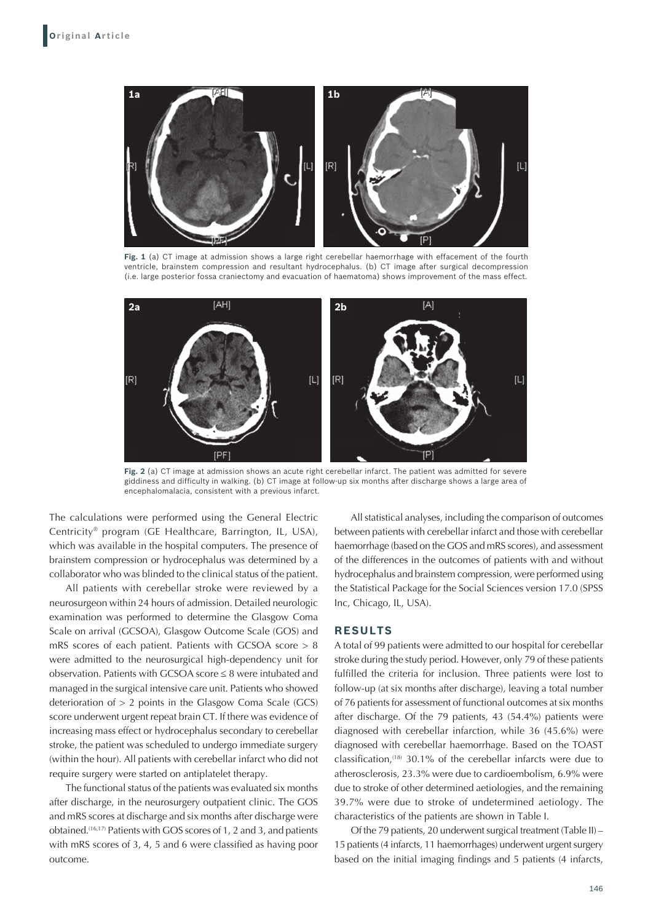

**Fig. 1** (a) CT image at admission shows a large right cerebellar haemorrhage with effacement of the fourth ventricle, brainstem compression and resultant hydrocephalus. (b) CT image after surgical decompression (i.e. large posterior fossa craniectomy and evacuation of haematoma) shows improvement of the mass effect.



**Fig. 2** (a) CT image at admission shows an acute right cerebellar infarct. The patient was admitted for severe giddiness and difficulty in walking. (b) CT image at follow-up six months after discharge shows a large area of encephalomalacia, consistent with a previous infarct.

The calculations were performed using the General Electric Centricity® program (GE Healthcare, Barrington, IL, USA), which was available in the hospital computers. The presence of brainstem compression or hydrocephalus was determined by a collaborator who was blinded to the clinical status of the patient.

All patients with cerebellar stroke were reviewed by a neurosurgeon within 24 hours of admission. Detailed neurologic examination was performed to determine the Glasgow Coma Scale on arrival (GCSOA), Glasgow Outcome Scale (GOS) and mRS scores of each patient. Patients with GCSOA score > 8 were admitted to the neurosurgical high-dependency unit for observation. Patients with GCSOA score ≤ 8 were intubated and managed in the surgical intensive care unit. Patients who showed deterioration of > 2 points in the Glasgow Coma Scale (GCS) score underwent urgent repeat brain CT. If there was evidence of increasing mass effect or hydrocephalus secondary to cerebellar stroke, the patient was scheduled to undergo immediate surgery (within the hour). All patients with cerebellar infarct who did not require surgery were started on antiplatelet therapy.

The functional status of the patients was evaluated six months after discharge, in the neurosurgery outpatient clinic. The GOS and mRS scores at discharge and six months after discharge were obtained.<sup>(16,17)</sup> Patients with GOS scores of 1, 2 and 3, and patients with mRS scores of 3, 4, 5 and 6 were classified as having poor outcome.

All statistical analyses, including the comparison of outcomes between patients with cerebellar infarct and those with cerebellar haemorrhage (based on the GOS and mRS scores), and assessment of the differences in the outcomes of patients with and without hydrocephalus and brainstem compression, were performed using the Statistical Package for the Social Sciences version 17.0 (SPSS Inc, Chicago, IL, USA).

## **RESULTS**

A total of 99 patients were admitted to our hospital for cerebellar stroke during the study period. However, only 79 of these patients fulfilled the criteria for inclusion. Three patients were lost to follow-up (at six months after discharge), leaving a total number of 76 patients for assessment of functional outcomes at six months after discharge. Of the 79 patients, 43 (54.4%) patients were diagnosed with cerebellar infarction, while 36 (45.6%) were diagnosed with cerebellar haemorrhage. Based on the TOAST classification,(18) 30.1% of the cerebellar infarcts were due to atherosclerosis, 23.3% were due to cardioembolism, 6.9% were due to stroke of other determined aetiologies, and the remaining 39.7% were due to stroke of undetermined aetiology. The characteristics of the patients are shown in Table I.

Of the 79 patients, 20 underwent surgical treatment (Table II) – 15 patients (4 infarcts, 11 haemorrhages) underwent urgent surgery based on the initial imaging findings and 5 patients (4 infarcts,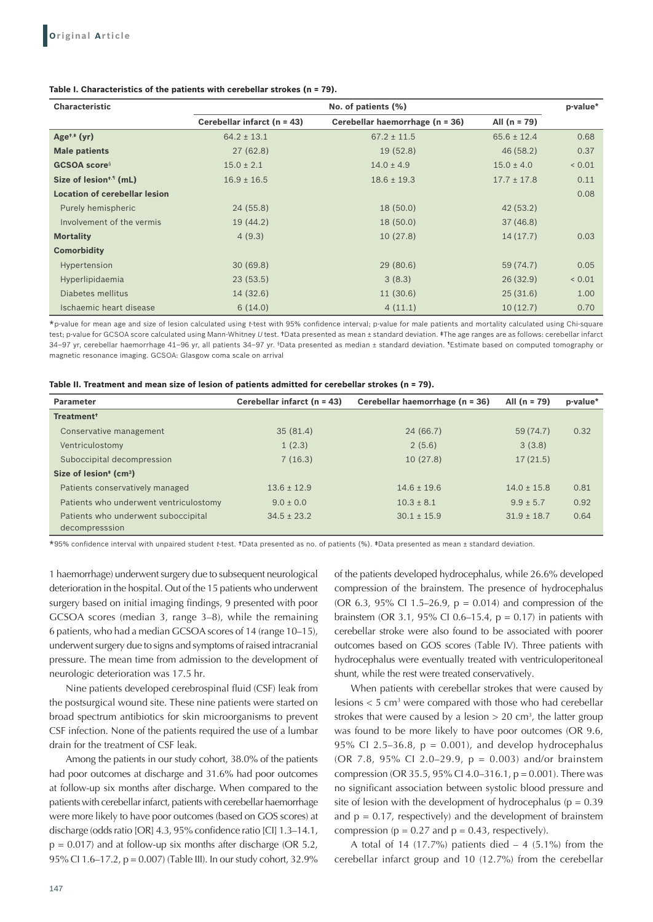#### **Table I. Characteristics of the patients with cerebellar strokes (n = 79).**

| <b>Characteristic</b>                | No. of patients (%)           |                                 |                 |             |
|--------------------------------------|-------------------------------|---------------------------------|-----------------|-------------|
|                                      | Cerebellar infarct $(n = 43)$ | Cerebellar haemorrhage (n = 36) | All $(n = 79)$  |             |
| $Age^{t,*} (yr)$                     | $64.2 \pm 13.1$               | $67.2 \pm 11.5$                 | $65.6 \pm 12.4$ | 0.68        |
| <b>Male patients</b>                 | 27(62.8)                      | 19(52.8)                        | 46 (58.2)       | 0.37        |
| <b>GCSOA score</b> <sup>§</sup>      | $15.0 \pm 2.1$                | $14.0 \pm 4.9$                  | $15.0 \pm 4.0$  | ${}_{0.01}$ |
| Size of lesion <sup>t,1</sup> (mL)   | $16.9 \pm 16.5$               | $18.6 \pm 19.3$                 | $17.7 \pm 17.8$ | 0.11        |
| <b>Location of cerebellar lesion</b> |                               |                                 |                 | 0.08        |
| Purely hemispheric                   | 24(55.8)                      | 18(50.0)                        | 42(53.2)        |             |
| Involvement of the vermis            | 19 (44.2)                     | 18(50.0)                        | 37(46.8)        |             |
| <b>Mortality</b>                     | 4(9.3)                        | 10(27.8)                        | 14(17.7)        | 0.03        |
| <b>Comorbidity</b>                   |                               |                                 |                 |             |
| Hypertension                         | 30(69.8)                      | 29(80.6)                        | 59 (74.7)       | 0.05        |
| Hyperlipidaemia                      | 23(53.5)                      | 3(8.3)                          | 26(32.9)        | ${}_{0.01}$ |
| Diabetes mellitus                    | 14 (32.6)                     | 11(30.6)                        | 25(31.6)        | 1.00        |
| Ischaemic heart disease              | 6(14.0)                       | 4(11.1)                         | 10(12.7)        | 0.70        |

\*p-value for mean age and size of lesion calculated using t-test with 95% confidence interval; p-value for male patients and mortality calculated using Chi-square test; p-value for GCSOA score calculated using Mann-Whitney U test. †Data presented as mean <sup>±</sup> standard deviation. ‡The age ranges are as follows: cerebellar infarct 34–97 yr, cerebellar haemorrhage 41–96 yr, all patients 34–97 yr. § Data presented as median ± standard deviation. ¶Estimate based on computed tomography or magnetic resonance imaging. GCSOA: Glasgow coma scale on arrival

|  |  |  | Table II. Treatment and mean size of lesion of patients admitted for cerebellar strokes (n = 79). |  |  |
|--|--|--|---------------------------------------------------------------------------------------------------|--|--|
|--|--|--|---------------------------------------------------------------------------------------------------|--|--|

| <b>Parameter</b>                                      | Cerebellar infarct $(n = 43)$ | Cerebellar haemorrhage (n = 36) | All $(n = 79)$  | p-value* |
|-------------------------------------------------------|-------------------------------|---------------------------------|-----------------|----------|
| Treatment <sup>+</sup>                                |                               |                                 |                 |          |
| Conservative management                               | 35(81.4)                      | 24 (66.7)                       | 59 (74.7)       | 0.32     |
| Ventriculostomy                                       | 1(2.3)                        | 2(5.6)                          | 3(3.8)          |          |
| Suboccipital decompression                            | 7(16.3)                       | 10(27.8)                        | 17(21.5)        |          |
| Size of lesion $*$ (cm <sup>3</sup> )                 |                               |                                 |                 |          |
| Patients conservatively managed                       | $13.6 \pm 12.9$               | $14.6 \pm 19.6$                 | $14.0 \pm 15.8$ | 0.81     |
| Patients who underwent ventriculostomy                | $9.0 \pm 0.0$                 | $10.3 \pm 8.1$                  | $9.9 \pm 5.7$   | 0.92     |
| Patients who underwent suboccipital<br>decompresssion | $34.5 \pm 23.2$               | $30.1 \pm 15.9$                 | $31.9 \pm 18.7$ | 0.64     |

\*95% confidence interval with unpaired student t-test. †Data presented as no. of patients (%). ‡Data presented as mean <sup>±</sup> standard deviation.

1 haemorrhage) underwent surgery due to subsequent neurological deterioration in the hospital. Out of the 15 patients who underwent surgery based on initial imaging findings, 9 presented with poor GCSOA scores (median 3, range 3–8), while the remaining 6 patients, who had a median GCSOA scores of 14 (range 10–15), underwent surgery due to signs and symptoms of raised intracranial pressure. The mean time from admission to the development of neurologic deterioration was 17.5 hr.

Nine patients developed cerebrospinal fluid (CSF) leak from the postsurgical wound site. These nine patients were started on broad spectrum antibiotics for skin microorganisms to prevent CSF infection. None of the patients required the use of a lumbar drain for the treatment of CSF leak.

Among the patients in our study cohort, 38.0% of the patients had poor outcomes at discharge and 31.6% had poor outcomes at follow-up six months after discharge. When compared to the patients with cerebellar infarct, patients with cerebellar haemorrhage were more likely to have poor outcomes (based on GOS scores) at discharge (odds ratio [OR] 4.3, 95% confidence ratio [CI] 1.3–14.1,  $p = 0.017$ ) and at follow-up six months after discharge (OR 5.2, 95% CI 1.6–17.2, p = 0.007) (Table III). In our study cohort, 32.9% of the patients developed hydrocephalus, while 26.6% developed compression of the brainstem. The presence of hydrocephalus (OR 6.3, 95% CI 1.5–26.9, p = 0.014) and compression of the brainstem (OR 3.1, 95% CI 0.6-15.4,  $p = 0.17$ ) in patients with cerebellar stroke were also found to be associated with poorer outcomes based on GOS scores (Table IV). Three patients with hydrocephalus were eventually treated with ventriculoperitoneal shunt, while the rest were treated conservatively.

When patients with cerebellar strokes that were caused by  $l$ esions  $<$  5 cm<sup>3</sup> were compared with those who had cerebellar strokes that were caused by a lesion  $>$  20 cm<sup>3</sup>, the latter group was found to be more likely to have poor outcomes (OR 9.6, 95% CI 2.5–36.8,  $p = 0.001$ , and develop hydrocephalus (OR 7.8, 95% CI 2.0–29.9, p = 0.003) and/or brainstem compression (OR 35.5, 95% CI 4.0–316.1,  $p = 0.001$ ). There was no significant association between systolic blood pressure and site of lesion with the development of hydrocephalus ( $p = 0.39$ ) and  $p = 0.17$ , respectively) and the development of brainstem compression ( $p = 0.27$  and  $p = 0.43$ , respectively).

A total of 14 (17.7%) patients died  $-$  4 (5.1%) from the cerebellar infarct group and 10 (12.7%) from the cerebellar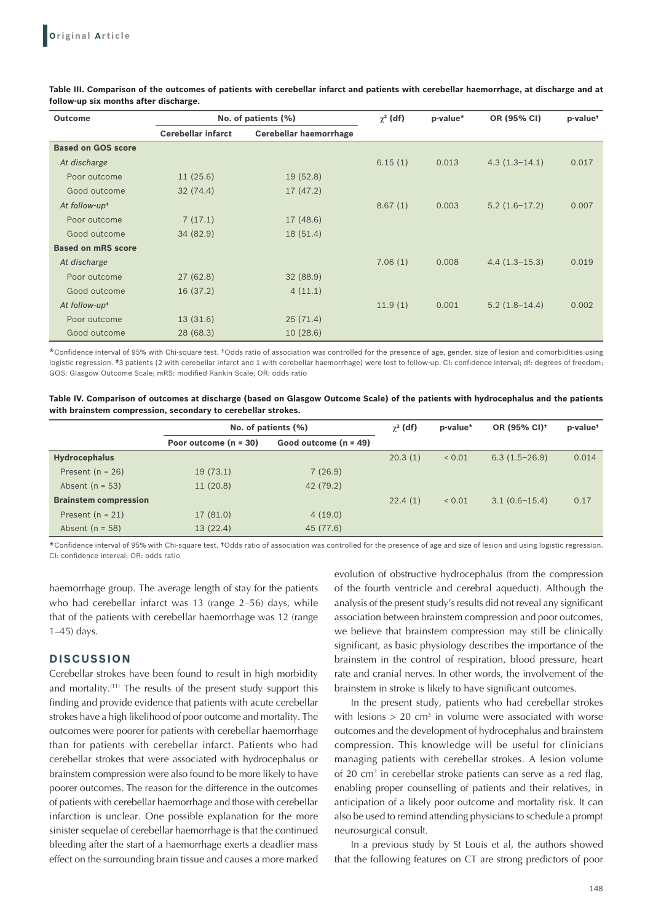| <b>Outcome</b>            | No. of patients (%)       |                               | $\chi^2$ (df) | p-value* | OR (95% CI)     | p-value <sup>+</sup> |
|---------------------------|---------------------------|-------------------------------|---------------|----------|-----------------|----------------------|
|                           | <b>Cerebellar infarct</b> | <b>Cerebellar haemorrhage</b> |               |          |                 |                      |
| <b>Based on GOS score</b> |                           |                               |               |          |                 |                      |
| At discharge              |                           |                               | 6.15(1)       | 0.013    | $4.3(1.3-14.1)$ | 0.017                |
| Poor outcome              | 11(25.6)                  | 19(52.8)                      |               |          |                 |                      |
| Good outcome              | 32(74.4)                  | 17(47.2)                      |               |          |                 |                      |
| At follow-up <sup>*</sup> |                           |                               | 8.67(1)       | 0.003    | $5.2(1.6-17.2)$ | 0.007                |
| Poor outcome              | 7(17.1)                   | 17(48.6)                      |               |          |                 |                      |
| Good outcome              | 34(82.9)                  | 18(51.4)                      |               |          |                 |                      |
| <b>Based on mRS score</b> |                           |                               |               |          |                 |                      |
| At discharge              |                           |                               | 7.06(1)       | 0.008    | $4.4(1.3-15.3)$ | 0.019                |
| Poor outcome              | 27(62.8)                  | 32(88.9)                      |               |          |                 |                      |
| Good outcome              | 16 (37.2)                 | 4(11.1)                       |               |          |                 |                      |
| At follow-up <sup>*</sup> |                           |                               | 11.9(1)       | 0.001    | $5.2(1.8-14.4)$ | 0.002                |
| Poor outcome              | 13(31.6)                  | 25(71.4)                      |               |          |                 |                      |
| Good outcome              | 28(68.3)                  | 10(28.6)                      |               |          |                 |                      |

**Table III. Comparison of the outcomes of patients with cerebellar infarct and patients with cerebellar haemorrhage, at discharge and at follow‑up six months after discharge.**

\*Confidence interval of 95% with Chi-square test. †Odds ratio of association was controlled for the presence of age, gender, size of lesion and comorbidities using logistic regression. #3 patients (2 with cerebellar infarct and 1 with cerebellar haemorrhage) were lost to follow-up. CI: confidence interval; df: degrees of freedom; GOS: Glasgow Outcome Scale; mRS: modified Rankin Scale; OR: odds ratio

**Table IV. Comparison of outcomes at discharge (based on Glasgow Outcome Scale) of the patients with hydrocephalus and the patients with brainstem compression, secondary to cerebellar strokes.**

|                              | No. of patients (%)     |                         | $\gamma^2$ (df) | p-value* | OR (95% CI) <sup>+</sup> | p-value <sup>+</sup> |
|------------------------------|-------------------------|-------------------------|-----------------|----------|--------------------------|----------------------|
|                              | Poor outcome $(n = 30)$ | Good outcome $(n = 49)$ |                 |          |                          |                      |
| <b>Hydrocephalus</b>         |                         |                         | 20.3(1)         | 0.01     | $6.3(1.5-26.9)$          | 0.014                |
| Present $(n = 26)$           | 19(73.1)                | 7(26.9)                 |                 |          |                          |                      |
| Absent $(n = 53)$            | 11(20.8)                | 42 (79.2)               |                 |          |                          |                      |
| <b>Brainstem compression</b> |                         |                         | 22.4(1)         | 0.01     | $3.1(0.6-15.4)$          | 0.17                 |
| Present $(n = 21)$           | 17 (81.0)               | 4(19.0)                 |                 |          |                          |                      |
| Absent $(n = 58)$            | 13(22.4)                | 45 (77.6)               |                 |          |                          |                      |

\*Confidence interval of 95% with Chi-square test. †Odds ratio of association was controlled for the presence of age and size of lesion and using logistic regression. CI: confidence interval; OR: odds ratio

haemorrhage group. The average length of stay for the patients who had cerebellar infarct was 13 (range 2–56) days, while that of the patients with cerebellar haemorrhage was 12 (range 1–45) days.

## **DISCUSSION**

Cerebellar strokes have been found to result in high morbidity and mortality.(11) The results of the present study support this finding and provide evidence that patients with acute cerebellar strokes have a high likelihood of poor outcome and mortality. The outcomes were poorer for patients with cerebellar haemorrhage than for patients with cerebellar infarct. Patients who had cerebellar strokes that were associated with hydrocephalus or brainstem compression were also found to be more likely to have poorer outcomes. The reason for the difference in the outcomes of patients with cerebellar haemorrhage and those with cerebellar infarction is unclear. One possible explanation for the more sinister sequelae of cerebellar haemorrhage is that the continued bleeding after the start of a haemorrhage exerts a deadlier mass effect on the surrounding brain tissue and causes a more marked

evolution of obstructive hydrocephalus (from the compression of the fourth ventricle and cerebral aqueduct). Although the analysis of the present study's results did not reveal any significant association between brainstem compression and poor outcomes, we believe that brainstem compression may still be clinically significant, as basic physiology describes the importance of the brainstem in the control of respiration, blood pressure, heart rate and cranial nerves. In other words, the involvement of the brainstem in stroke is likely to have significant outcomes.

In the present study, patients who had cerebellar strokes with lesions  $> 20$  cm<sup>3</sup> in volume were associated with worse outcomes and the development of hydrocephalus and brainstem compression. This knowledge will be useful for clinicians managing patients with cerebellar strokes. A lesion volume of 20 cm<sup>3</sup> in cerebellar stroke patients can serve as a red flag, enabling proper counselling of patients and their relatives, in anticipation of a likely poor outcome and mortality risk. It can also be used to remind attending physicians to schedule a prompt neurosurgical consult.

In a previous study by St Louis et al, the authors showed that the following features on CT are strong predictors of poor